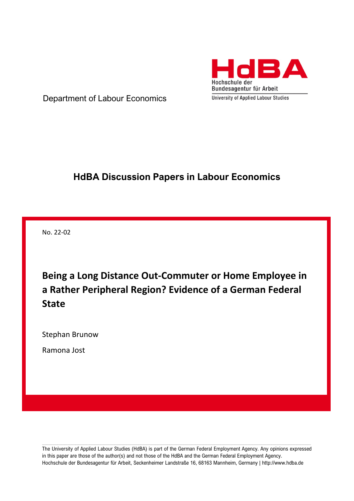

Department of Labour Economics

# **HdBA Discussion Papers in Labour Economics**

No. 22-02

**Being a Long Distance Out-Commuter or Home Employee in a Rather Peripheral Region? Evidence of a German Federal State**

Stephan Brunow

Ramona Jost

The University of Applied Labour Studies (HdBA) is part of the German Federal Employment Agency. Any opinions expressed in this paper are those of the author(s) and not those of the HdBA and the German Federal Employment Agency. Hochschule der Bundesagentur für Arbeit, Seckenheimer Landstraße 16, 68163 Mannheim, Germany | http://www.hdba.de

,我们就会在这里的时候,我们就会在这里,我们就会在这里,我们就会在这里,我们就会在这里,我们就会在这里,我们就会在这里,我们就会在这里,我们就会在这里,我们就会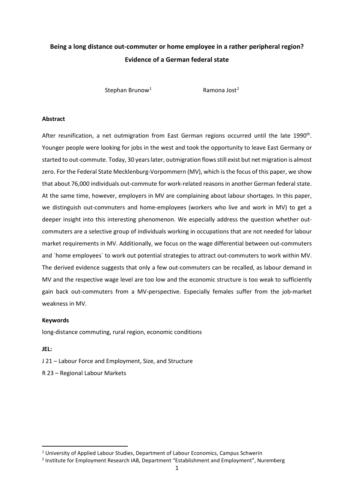## **Being a long distance out-commuter or home employee in a rather peripheral region? Evidence of a German federal state**

Stephan Brunow<sup>[1](#page-1-0)</sup> Ramona Jost<sup>[2](#page-1-1)</sup>

#### **Abstract**

After reunification, a net outmigration from East German regions occurred until the late 1990<sup>th</sup>. Younger people were looking for jobs in the west and took the opportunity to leave East Germany or started to out-commute. Today, 30 years later, outmigration flowsstill exist but net migration is almost zero. For the Federal State Mecklenburg-Vorpommern (MV), which is the focus of this paper, we show that about 76,000 individuals out-commute for work-related reasons in another German federal state. At the same time, however, employers in MV are complaining about labour shortages. In this paper, we distinguish out-commuters and home-employees (workers who live and work in MV) to get a deeper insight into this interesting phenomenon. We especially address the question whether outcommuters are a selective group of individuals working in occupations that are not needed for labour market requirements in MV. Additionally, we focus on the wage differential between out-commuters and `home employees` to work out potential strategies to attract out-commuters to work within MV. The derived evidence suggests that only a few out-commuters can be recalled, as labour demand in MV and the respective wage level are too low and the economic structure is too weak to sufficiently gain back out-commuters from a MV-perspective. Especially females suffer from the job-market weakness in MV.

#### **Keywords**

long-distance commuting, rural region, economic conditions

#### **JEL:**

J 21 – Labour Force and Employment, Size, and Structure

R 23 – Regional Labour Markets

<span id="page-1-0"></span><sup>&</sup>lt;sup>1</sup> University of Applied Labour Studies, Department of Labour Economics, Campus Schwerin

<span id="page-1-1"></span><sup>&</sup>lt;sup>2</sup> Institute for Employment Research IAB, Department "Establishment and Employment", Nuremberg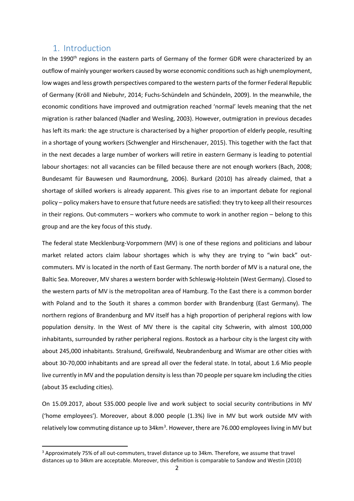### 1. Introduction

In the 1990<sup>th</sup> regions in the eastern parts of Germany of the former GDR were characterized by an outflow of mainly younger workers caused by worse economic conditions such as high unemployment, low wages and less growth perspectives compared to the western parts of the former Federal Republic of Germany (Kröll and Niebuhr, 2014; Fuchs-Schündeln and Schündeln, 2009). In the meanwhile, the economic conditions have improved and outmigration reached 'normal' levels meaning that the net migration is rather balanced (Nadler and Wesling, 2003). However, outmigration in previous decades has left its mark: the age structure is characterised by a higher proportion of elderly people, resulting in a shortage of young workers (Schwengler and Hirschenauer, 2015). This together with the fact that in the next decades a large number of workers will retire in eastern Germany is leading to potential labour shortages: not all vacancies can be filled because there are not enough workers (Bach, 2008; Bundesamt für Bauwesen und Raumordnung, 2006). Burkard (2010) has already claimed, that a shortage of skilled workers is already apparent. This gives rise to an important debate for regional policy – policy makers have to ensure that future needs are satisfied: they try to keep all their resources in their regions. Out-commuters – workers who commute to work in another region – belong to this group and are the key focus of this study.

The federal state Mecklenburg-Vorpommern (MV) is one of these regions and politicians and labour market related actors claim labour shortages which is why they are trying to "win back" outcommuters. MV is located in the north of East Germany. The north border of MV is a natural one, the Baltic Sea. Moreover, MV shares a western border with Schleswig-Holstein (West Germany). Closed to the western parts of MV is the metropolitan area of Hamburg. To the East there is a common border with Poland and to the South it shares a common border with Brandenburg (East Germany). The northern regions of Brandenburg and MV itself has a high proportion of peripheral regions with low population density. In the West of MV there is the capital city Schwerin, with almost 100,000 inhabitants, surrounded by rather peripheral regions. Rostock as a harbour city is the largest city with about 245,000 inhabitants. Stralsund, Greifswald, Neubrandenburg and Wismar are other cities with about 30-70,000 inhabitants and are spread all over the federal state. In total, about 1.6 Mio people live currently in MV and the population density is less than 70 people per square km including the cities (about 35 excluding cities).

On 15.09.2017, about 535.000 people live and work subject to social security contributions in MV ('home employees'). Moreover, about 8.000 people (1.3%) live in MV but work outside MV with relatively low commuting distance up to [3](#page-2-0)4km<sup>3</sup>. However, there are 76.000 employees living in MV but

<span id="page-2-0"></span><sup>&</sup>lt;sup>3</sup> Approximately 75% of all out-commuters, travel distance up to 34km. Therefore, we assume that travel distances up to 34km are acceptable. Moreover, this definition is comparable to Sandow and Westin (2010)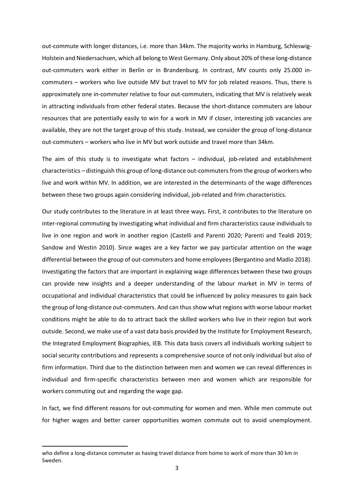out-commute with longer distances, i.e. more than 34km. The majority works in Hamburg, Schleswig-Holstein and Niedersachsen, which all belong to West Germany. Only about 20% of these long-distance out-commuters work either in Berlin or in Brandenburg. In contrast, MV counts only 25.000 incommuters – workers who live outside MV but travel to MV for job related reasons. Thus, there is approximately one in-commuter relative to four out-commuters, indicating that MV is relatively weak in attracting individuals from other federal states. Because the short-distance commuters are labour resources that are potentially easily to win for a work in MV if closer, interesting job vacancies are available, they are not the target group of this study. Instead, we consider the group of long-distance out-commuters – workers who live in MV but work outside and travel more than 34km.

The aim of this study is to investigate what factors – individual, job-related and establishment characteristics – distinguish this group of long-distance out-commuters from the group of workers who live and work within MV. In addition, we are interested in the determinants of the wage differences between these two groups again considering individual, job-related and frim characteristics.

Our study contributes to the literature in at least three ways. First, it contributes to the literature on inter-regional commuting by investigating what individual and firm characteristics cause individuals to live in one region and work in another region (Castelli and Parenti 2020; Parenti and Tealdi 2019; Sandow and Westin 2010). Since wages are a key factor we pay particular attention on the wage differential between the group of out-commuters and home employees (Bergantino and Madio 2018). Investigating the factors that are important in explaining wage differences between these two groups can provide new insights and a deeper understanding of the labour market in MV in terms of occupational and individual characteristics that could be influenced by policy measures to gain back the group of long-distance out-commuters. And can thus show what regions with worse labour market conditions might be able to do to attract back the skilled workers who live in their region but work outside. Second, we make use of a vast data basis provided by the Institute for Employment Research, the Integrated Employment Biographies, IEB. This data basis covers all individuals working subject to social security contributions and represents a comprehensive source of not only individual but also of firm information. Third due to the distinction between men and women we can reveal differences in individual and firm-specific characteristics between men and women which are responsible for workers commuting out and regarding the wage gap.

In fact, we find different reasons for out-commuting for women and men. While men commute out for higher wages and better career opportunities women commute out to avoid unemployment.

who define a long-distance commuter as having travel distance from home to work of more than 30 km in Sweden.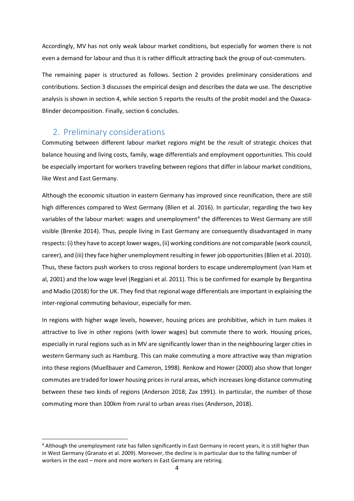Accordingly, MV has not only weak labour market conditions, but especially for women there is not even a demand for labour and thus it is rather difficult attracting back the group of out-commuters.

The remaining paper is structured as follows. Section 2 provides preliminary considerations and contributions. Section 3 discusses the empirical design and describes the data we use. The descriptive analysis is shown in section 4, while section 5 reports the results of the probit model and the Oaxaca-Blinder decomposition. Finally, section 6 concludes.

## 2. Preliminary considerations

Commuting between different labour market regions might be the result of strategic choices that balance housing and living costs, family, wage differentials and employment opportunities. This could be especially important for workers traveling between regions that differ in labour market conditions, like West and East Germany.

Although the economic situation in eastern Germany has improved since reunification, there are still high differences compared to West Germany (Blien et al. 2016). In particular, regarding the two key variables of the labour market: wages and unemployment<sup>[4](#page-4-0)</sup> the differences to West Germany are still visible (Brenke 2014). Thus, people living in East Germany are consequently disadvantaged in many respects: (i) they have to accept lower wages, (ii) working conditions are not comparable (work council, career), and (iii) they face higher unemployment resulting in fewer job opportunities (Blien et al. 2010). Thus, these factors push workers to cross regional borders to escape underemployment (van Ham et al, 2001) and the low wage level (Reggiani et al. 2011). This is be confirmed for example by Bergantina and Madio (2018) for the UK. They find that regional wage differentials are important in explaining the inter-regional commuting behaviour, especially for men.

In regions with higher wage levels, however, housing prices are prohibitive, which in turn makes it attractive to live in other regions (with lower wages) but commute there to work. Housing prices, especially in rural regions such as in MV are significantly lower than in the neighbouring larger cities in western Germany such as Hamburg. This can make commuting a more attractive way than migration into these regions (Muellbauer and Cameron, 1998). Renkow and Hower (2000) also show that longer commutes are traded for lower housing prices in rural areas, which increases long-distance commuting between these two kinds of regions (Anderson 2018; Zax 1991). In particular, the number of those commuting more than 100km from rural to urban areas rises (Anderson, 2018).

<span id="page-4-0"></span><sup>&</sup>lt;sup>4</sup> Although the unemployment rate has fallen significantly in East Germany in recent years, it is still higher than in West Germany (Granato et al. 2009). Moreover, the decline is in particular due to the falling number of workers in the east – more and more workers in East Germany are retiring.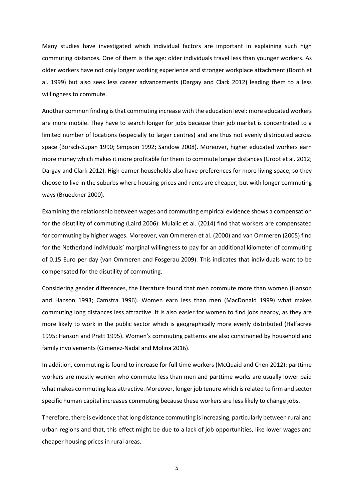Many studies have investigated which individual factors are important in explaining such high commuting distances. One of them is the age: older individuals travel less than younger workers. As older workers have not only longer working experience and stronger workplace attachment (Booth et al. 1999) but also seek less career advancements (Dargay and Clark 2012) leading them to a less willingness to commute.

Another common finding is that commuting increase with the education level: more educated workers are more mobile. They have to search longer for jobs because their job market is concentrated to a limited number of locations (especially to larger centres) and are thus not evenly distributed across space (Börsch-Supan 1990; Simpson 1992; Sandow 2008). Moreover, higher educated workers earn more money which makes it more profitable for them to commute longer distances (Groot et al. 2012; Dargay and Clark 2012). High earner households also have preferences for more living space, so they choose to live in the suburbs where housing prices and rents are cheaper, but with longer commuting ways (Brueckner 2000).

Examining the relationship between wages and commuting empirical evidence shows a compensation for the disutility of commuting (Laird 2006): Mulalic et al. (2014) find that workers are compensated for commuting by higher wages. Moreover, van Ommeren et al. (2000) and van Ommeren (2005) find for the Netherland individuals' marginal willingness to pay for an additional kilometer of commuting of 0.15 Euro per day (van Ommeren and Fosgerau 2009). This indicates that individuals want to be compensated for the disutility of commuting.

Considering gender differences, the literature found that men commute more than women (Hanson and Hanson 1993; Camstra 1996). Women earn less than men (MacDonald 1999) what makes commuting long distances less attractive. It is also easier for women to find jobs nearby, as they are more likely to work in the public sector which is geographically more evenly distributed (Halfacree 1995; Hanson and Pratt 1995). Women's commuting patterns are also constrained by household and family involvements (Gimenez-Nadal and Molina 2016).

In addition, commuting is found to increase for full time workers (McQuaid and Chen 2012): parttime workers are mostly women who commute less than men and parttime works are usually lower paid what makes commuting less attractive. Moreover, longer job tenure which is related to firm and sector specific human capital increases commuting because these workers are less likely to change jobs.

Therefore, there is evidence that long distance commuting is increasing, particularly between rural and urban regions and that, this effect might be due to a lack of job opportunities, like lower wages and cheaper housing prices in rural areas.

5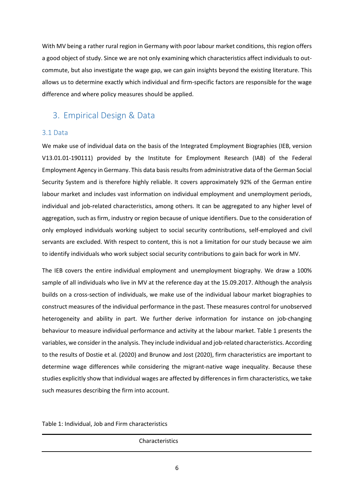With MV being a rather rural region in Germany with poor labour market conditions, this region offers a good object of study. Since we are not only examining which characteristics affect individuals to outcommute, but also investigate the wage gap, we can gain insights beyond the existing literature. This allows us to determine exactly which individual and firm-specific factors are responsible for the wage difference and where policy measures should be applied.

## 3. Empirical Design & Data

### 3.1 Data

We make use of individual data on the basis of the Integrated Employment Biographies (IEB, version V13.01.01-190111) provided by the Institute for Employment Research (IAB) of the Federal Employment Agency in Germany. This data basis results from administrative data of the German Social Security System and is therefore highly reliable. It covers approximately 92% of the German entire labour market and includes vast information on individual employment and unemployment periods, individual and job-related characteristics, among others. It can be aggregated to any higher level of aggregation, such as firm, industry or region because of unique identifiers. Due to the consideration of only employed individuals working subject to social security contributions, self-employed and civil servants are excluded. With respect to content, this is not a limitation for our study because we aim to identify individuals who work subject social security contributions to gain back for work in MV.

The IEB covers the entire individual employment and unemployment biography. We draw a 100% sample of all individuals who live in MV at the reference day at the 15.09.2017. Although the analysis builds on a cross-section of individuals, we make use of the individual labour market biographies to construct measures of the individual performance in the past. These measures control for unobserved heterogeneity and ability in part. We further derive information for instance on job-changing behaviour to measure individual performance and activity at the labour market[. Table 1](#page-6-0) presents the variables, we consider in the analysis. They include individual and job-related characteristics. According to the results of Dostie et al. (2020) and Brunow and Jost (2020), firm characteristics are important to determine wage differences while considering the migrant-native wage inequality. Because these studies explicitly show that individual wages are affected by differences in firm characteristics, we take such measures describing the firm into account.

<span id="page-6-0"></span>Table 1: Individual, Job and Firm characteristics

**Characteristics**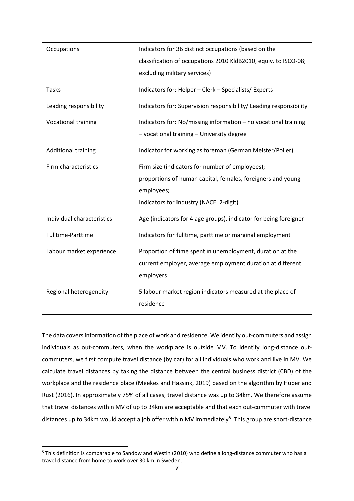| Occupations                | Indicators for 36 distinct occupations (based on the               |  |  |  |
|----------------------------|--------------------------------------------------------------------|--|--|--|
|                            | classification of occupations 2010 KldB2010, equiv. to ISCO-08;    |  |  |  |
|                            | excluding military services)                                       |  |  |  |
| <b>Tasks</b>               | Indicators for: Helper - Clerk - Specialists/ Experts              |  |  |  |
| Leading responsibility     | Indicators for: Supervision responsibility/ Leading responsibility |  |  |  |
| Vocational training        | Indicators for: No/missing information - no vocational training    |  |  |  |
|                            | - vocational training - University degree                          |  |  |  |
| <b>Additional training</b> | Indicator for working as foreman (German Meister/Polier)           |  |  |  |
| Firm characteristics       | Firm size (indicators for number of employees);                    |  |  |  |
|                            | proportions of human capital, females, foreigners and young        |  |  |  |
|                            | employees;                                                         |  |  |  |
|                            | Indicators for industry (NACE, 2-digit)                            |  |  |  |
| Individual characteristics | Age (indicators for 4 age groups), indicator for being foreigner   |  |  |  |
| Fulltime-Parttime          | Indicators for fulltime, parttime or marginal employment           |  |  |  |
| Labour market experience   | Proportion of time spent in unemployment, duration at the          |  |  |  |
|                            | current employer, average employment duration at different         |  |  |  |
|                            | employers                                                          |  |  |  |
| Regional heterogeneity     | 5 labour market region indicators measured at the place of         |  |  |  |
|                            | residence                                                          |  |  |  |
|                            |                                                                    |  |  |  |

The data covers information of the place of work and residence. We identify out-commuters and assign individuals as out-commuters, when the workplace is outside MV. To identify long-distance outcommuters, we first compute travel distance (by car) for all individuals who work and live in MV. We calculate travel distances by taking the distance between the central business district (CBD) of the workplace and the residence place (Meekes and Hassink, 2019) based on the algorithm by Huber and Rust (2016). In approximately 75% of all cases, travel distance was up to 34km. We therefore assume that travel distances within MV of up to 34km are acceptable and that each out-commuter with travel distances up to 34km would accept a job offer within MV immediately<sup>[5](#page-7-0)</sup>. This group are short-distance

<span id="page-7-0"></span><sup>&</sup>lt;sup>5</sup> This definition is comparable to Sandow and Westin (2010) who define a long-distance commuter who has a travel distance from home to work over 30 km in Sweden.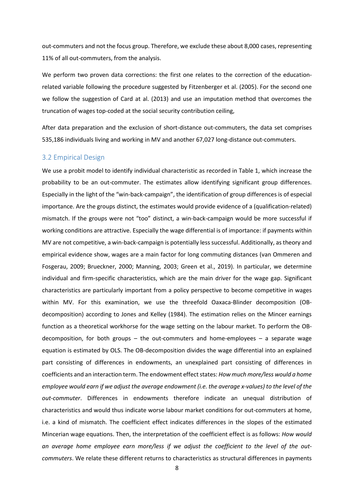out-commuters and not the focus group. Therefore, we exclude these about 8,000 cases, representing 11% of all out-commuters, from the analysis.

We perform two proven data corrections: the first one relates to the correction of the educationrelated variable following the procedure suggested by Fitzenberger et al. (2005). For the second one we follow the suggestion of Card at al. (2013) and use an imputation method that overcomes the truncation of wages top-coded at the social security contribution ceiling,

After data preparation and the exclusion of short-distance out-commuters, the data set comprises 535,186 individuals living and working in MV and another 67,027 long-distance out-commuters.

#### 3.2 Empirical Design

We use a probit model to identify individual characteristic as recorded in [Table 1,](#page-6-0) which increase the probability to be an out-commuter. The estimates allow identifying significant group differences. Especially in the light of the "win-back-campaign", the identification of group differences is of especial importance. Are the groups distinct, the estimates would provide evidence of a (qualification-related) mismatch. If the groups were not "too" distinct, a win-back-campaign would be more successful if working conditions are attractive. Especially the wage differential is of importance: if payments within MV are not competitive, a win-back-campaign is potentially less successful. Additionally, as theory and empirical evidence show, wages are a main factor for long commuting distances (van Ommeren and Fosgerau, 2009; Brueckner, 2000; Manning, 2003; Green et al., 2019). In particular, we determine individual and firm-specific characteristics, which are the main driver for the wage gap. Significant characteristics are particularly important from a policy perspective to become competitive in wages within MV. For this examination, we use the threefold Oaxaca-Blinder decomposition (OBdecomposition) according to Jones and Kelley (1984). The estimation relies on the Mincer earnings function as a theoretical workhorse for the wage setting on the labour market. To perform the OBdecomposition, for both groups – the out-commuters and home-employees – a separate wage equation is estimated by OLS. The OB-decomposition divides the wage differential into an explained part consisting of differences in endowments, an unexplained part consisting of differences in coefficients and an interaction term. The endowment effect states: *How much more/less would a home employee would earn if we adjust the average endowment (i.e. the average x-values) to the level of the out-commuter*. Differences in endowments therefore indicate an unequal distribution of characteristics and would thus indicate worse labour market conditions for out-commuters at home, i.e. a kind of mismatch. The coefficient effect indicates differences in the slopes of the estimated Mincerian wage equations. Then, the interpretation of the coefficient effect is as follows: *How would an average home employee earn more/less if we adjust the coefficient to the level of the outcommuters*. We relate these different returns to characteristics as structural differences in payments

8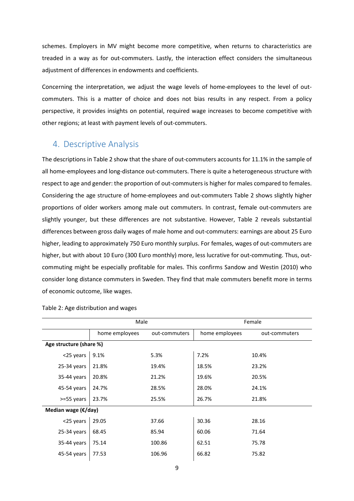schemes. Employers in MV might become more competitive, when returns to characteristics are treaded in a way as for out-commuters. Lastly, the interaction effect considers the simultaneous adjustment of differences in endowments and coefficients.

Concerning the interpretation, we adjust the wage levels of home-employees to the level of outcommuters. This is a matter of choice and does not bias results in any respect. From a policy perspective, it provides insights on potential, required wage increases to become competitive with other regions; at least with payment levels of out-commuters.

## 4. Descriptive Analysis

The descriptions in Table 2 show that the share of out-commuters accounts for 11.1% in the sample of all home-employees and long-distance out-commuters. There is quite a heterogeneous structure with respect to age and gender: the proportion of out-commuters is higher for males compared to females. Considering the age structure of home-employees and out-commuters [Table 2](#page-9-0) shows slightly higher proportions of older workers among male out commuters. In contrast, female out-commuters are slightly younger, but these differences are not substantive. However, [Table 2](#page-9-0) reveals substantial differences between gross daily wages of male home and out-commuters: earnings are about 25 Euro higher, leading to approximately 750 Euro monthly surplus. For females, wages of out-commuters are higher, but with about 10 Euro (300 Euro monthly) more, less lucrative for out-commuting. Thus, outcommuting might be especially profitable for males. This confirms Sandow and Westin (2010) who consider long distance commuters in Sweden. They find that male commuters benefit more in terms of economic outcome, like wages.

|                         | Male           |               | Female         |               |  |
|-------------------------|----------------|---------------|----------------|---------------|--|
|                         | home employees | out-commuters | home employees | out-commuters |  |
| Age structure (share %) |                |               |                |               |  |
| <25 years               | 9.1%           | 5.3%          | 7.2%           | 10.4%         |  |
| $25-34$ years           | 21.8%          | 19.4%         | 18.5%          | 23.2%         |  |
| 35-44 years             | 20.8%          | 21.2%         | 19.6%          | 20.5%         |  |
| 45-54 years             | 24.7%          | 28.5%         | 28.0%          | 24.1%         |  |
| >=55 years              | 23.7%          | 25.5%         | 26.7%          | 21.8%         |  |
| Median wage (€/day)     |                |               |                |               |  |
| <25 years               | 29.05          | 37.66         | 30.36          | 28.16         |  |
| $25-34$ years           | 68.45          | 85.94         | 60.06          | 71.64         |  |
| 35-44 years             | 75.14          | 100.86        | 62.51          | 75.78         |  |
| 45-54 years             | 77.53          | 106.96        | 66.82          | 75.82         |  |
|                         |                |               |                |               |  |

<span id="page-9-0"></span>Table 2: Age distribution and wages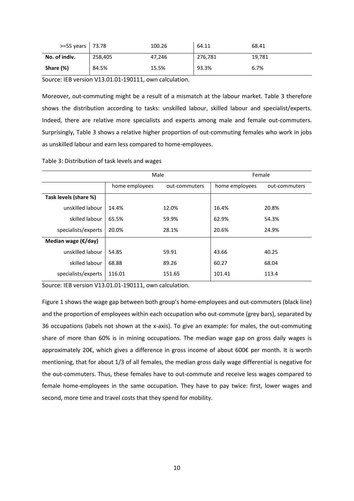| $>=55 \text{ years}$ 73.78 |         | 100.26 | 64.11   | 68.41  |
|----------------------------|---------|--------|---------|--------|
| No. of indiv.              | 258,405 | 47,246 | 276,781 | 19,781 |
| Share (%)                  | 84.5%   | 15.5%  | 93.3%   | 6.7%   |

Source: IEB version V13.01.01-190111, own calculation.

Moreover, out-commuting might be a result of a mismatch at the labour market. Table 3 therefore shows the distribution according to tasks: unskilled labour, skilled labour and specialist/experts. Indeed, there are relative more specialists and experts among male and female out-commuters. Surprisingly, [Table 3](#page-10-0) shows a relative higher proportion of out-commuting females who work in jobs as unskilled labour and earn less compared to home-employees.

<span id="page-10-0"></span>Table 3: Distribution of task levels and wages

|                              | Male           |               | Female         |               |  |
|------------------------------|----------------|---------------|----------------|---------------|--|
|                              | home employees | out-commuters | home employees | out-commuters |  |
| Task levels (share %)        |                |               |                |               |  |
| unskilled labour             | 14.4%          | 12.0%         | 16.4%          | 20.8%         |  |
| skilled labour               | 65.5%          | 59.9%         | 62.9%          | 54.3%         |  |
| specialists/experts          | 20.0%          | 28.1%         | 20.6%          | 24.9%         |  |
| Median wage $(\epsilon/day)$ |                |               |                |               |  |
| unskilled labour             | 54.85          | 59.91         | 43.66          | 40.25         |  |
| skilled labour               | 68.88          | 89.26         | 60.27          | 68.04         |  |
| specialists/experts          | 116.01         | 151.65        | 101.41         | 113.4         |  |

Source: IEB version V13.01.01-190111, own calculation.

Figure 1 shows the wage gap between both group's home-employees and out-commuters (black line) and the proportion of employees within each occupation who out-commute (grey bars), separated by 36 occupations (labels not shown at the x-axis). To give an example: for males, the out-commuting share of more than 60% is in mining occupations. The median wage gap on gross daily wages is approximately 20€, which gives a difference in gross income of about 600€ per month. It is worth mentioning, that for about 1/3 of all females, the median gross daily wage differential is negative for the out-commuters. Thus, these females have to out-commute and receive less wages compared to female home-employees in the same occupation. They have to pay twice: first, lower wages and second, more time and travel costs that they spend for mobility.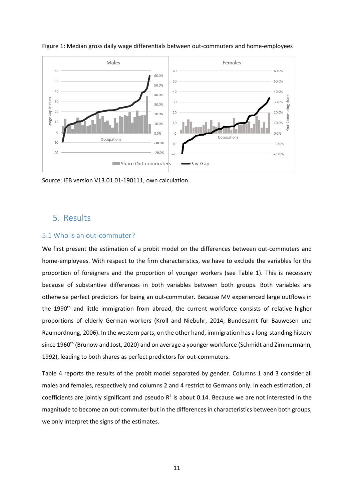

Figure 1: Median gross daily wage differentials between out-commuters and home-employees

Source: IEB version V13.01.01-190111, own calculation.

### 5. Results

### 5.1 Who is an out-commuter?

We first present the estimation of a probit model on the differences between out-commuters and home-employees. With respect to the firm characteristics, we have to exclude the variables for the proportion of foreigners and the proportion of younger workers (see [Table 1\)](#page-6-0). This is necessary because of substantive differences in both variables between both groups. Both variables are otherwise perfect predictors for being an out-commuter. Because MV experienced large outflows in the 1990<sup>th</sup> and little immigration from abroad, the current workforce consists of relative higher proportions of elderly German workers (Kroll and Niebuhr, 2014; Bundesamt für Bauwesen und Raumordnung, 2006). In the western parts, on the other hand, immigration has a long-standing history since 1960<sup>th</sup> (Brunow and Jost, 2020) and on average a younger workforce (Schmidt and Zimmermann, 1992), leading to both shares as perfect predictors for out-commuters.

[Table 4](#page-12-0) reports the results of the probit model separated by gender. Columns 1 and 3 consider all males and females, respectively and columns 2 and 4 restrict to Germans only. In each estimation, all coefficients are jointly significant and pseudo  $R<sup>2</sup>$  is about 0.14. Because we are not interested in the magnitude to become an out-commuter but in the differences in characteristics between both groups, we only interpret the signs of the estimates.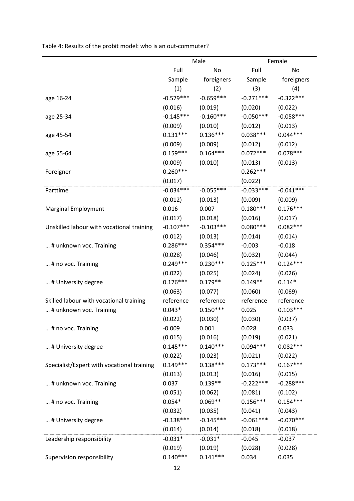|                                            |             | Male        | Female      |             |  |
|--------------------------------------------|-------------|-------------|-------------|-------------|--|
|                                            | Full        | No          | Full        | No          |  |
|                                            | Sample      | foreigners  | Sample      | foreigners  |  |
|                                            | (1)         | (2)         | (3)         | (4)         |  |
| age 16-24                                  | $-0.579***$ | $-0.659***$ | $-0.271***$ | $-0.322***$ |  |
|                                            | (0.016)     | (0.019)     | (0.020)     | (0.022)     |  |
| age 25-34                                  | $-0.145***$ | $-0.160***$ | $-0.050***$ | $-0.058***$ |  |
|                                            | (0.009)     | (0.010)     | (0.012)     | (0.013)     |  |
| age 45-54                                  | $0.131***$  | $0.136***$  | $0.038***$  | $0.044***$  |  |
|                                            | (0.009)     | (0.009)     | (0.012)     | (0.012)     |  |
| age 55-64                                  | $0.159***$  | $0.164***$  | $0.072***$  | $0.078***$  |  |
|                                            | (0.009)     | (0.010)     | (0.013)     | (0.013)     |  |
| Foreigner                                  | $0.260***$  |             | $0.262***$  |             |  |
|                                            | (0.017)     |             | (0.022)     |             |  |
| Parttime                                   | $-0.034***$ | $-0.055***$ | $-0.033***$ | $-0.041***$ |  |
|                                            | (0.012)     | (0.013)     | (0.009)     | (0.009)     |  |
| Marginal Employment                        | 0.016       | 0.007       | $0.180***$  | $0.176***$  |  |
|                                            | (0.017)     | (0.018)     | (0.016)     | (0.017)     |  |
| Unskilled labour with vocational training  | $-0.107***$ | $-0.103***$ | $0.080***$  | $0.082***$  |  |
|                                            | (0.012)     | (0.013)     | (0.014)     | (0.014)     |  |
| # unknown voc. Training                    | $0.286***$  | $0.354***$  | $-0.003$    | $-0.018$    |  |
|                                            | (0.028)     | (0.046)     | (0.032)     | (0.044)     |  |
| # no voc. Training                         | $0.249***$  | $0.230***$  | $0.125***$  | $0.124***$  |  |
|                                            | (0.022)     | (0.025)     | (0.024)     | (0.026)     |  |
| # University degree                        | $0.176***$  | $0.179**$   | $0.149**$   | $0.114*$    |  |
|                                            | (0.063)     | (0.077)     | (0.060)     | (0.069)     |  |
| Skilled labour with vocational training    | reference   | reference   | reference   | reference   |  |
| # unknown voc. Training                    | $0.043*$    | $0.150***$  | 0.025       | $0.103***$  |  |
|                                            | (0.022)     | (0.030)     | (0.030)     | (0.037)     |  |
| # no voc. Training                         | $-0.009$    | 0.001       | 0.028       | 0.033       |  |
|                                            | (0.015)     | (0.016)     | (0.019)     | (0.021)     |  |
| # University degree                        | $0.145***$  | $0.140***$  | $0.094***$  | $0.082***$  |  |
|                                            | (0.022)     | (0.023)     | (0.021)     | (0.022)     |  |
| Specialist/Expert with vocational training | $0.149***$  | $0.138***$  | $0.173***$  | $0.167***$  |  |
|                                            | (0.013)     | (0.013)     | (0.016)     | (0.015)     |  |
| # unknown voc. Training                    | 0.037       | $0.139**$   | $-0.222***$ | $-0.288***$ |  |
|                                            | (0.051)     | (0.062)     | (0.081)     | (0.102)     |  |
| # no voc. Training                         | $0.054*$    | $0.069**$   | $0.156***$  | $0.154***$  |  |
|                                            | (0.032)     | (0.035)     | (0.041)     | (0.043)     |  |
| # University degree                        | $-0.138***$ | $-0.145***$ | $-0.061***$ | $-0.070***$ |  |
|                                            | (0.014)     | (0.014)     | (0.018)     | (0.018)     |  |
| Leadership responsibility                  | $-0.031*$   | $-0.031*$   | $-0.045$    | $-0.037$    |  |
|                                            | (0.019)     | (0.019)     | (0.028)     | (0.028)     |  |
| Supervision responsibility                 | $0.140***$  | $0.141***$  | 0.034       | 0.035       |  |

<span id="page-12-0"></span>Table 4: Results of the probit model: who is an out-commuter?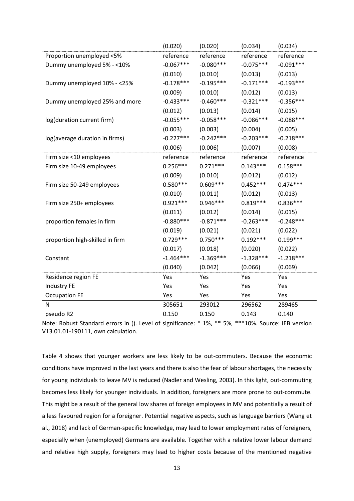|                                 | (0.020)     | (0.020)     | (0.034)     | (0.034)     |
|---------------------------------|-------------|-------------|-------------|-------------|
| Proportion unemployed <5%       | reference   | reference   | reference   | reference   |
| Dummy unemployed 5% - < 10%     | $-0.067***$ | $-0.080***$ | $-0.075***$ | $-0.091***$ |
|                                 | (0.010)     | (0.010)     | (0.013)     | (0.013)     |
| Dummy unemployed 10% - <25%     | $-0.178***$ | $-0.195***$ | $-0.171***$ | $-0.193***$ |
|                                 | (0.009)     | (0.010)     | (0.012)     | (0.013)     |
| Dummy unemployed 25% and more   | $-0.433***$ | $-0.460***$ | $-0.321***$ | $-0.356***$ |
|                                 | (0.012)     | (0.013)     | (0.014)     | (0.015)     |
| log(duration current firm)      | $-0.055***$ | $-0.058***$ | $-0.086***$ | $-0.088***$ |
|                                 | (0.003)     | (0.003)     | (0.004)     | (0.005)     |
| log(average duration in firms)  | $-0.227***$ | $-0.242***$ | $-0.203***$ | $-0.218***$ |
|                                 | (0.006)     | (0.006)     | (0.007)     | (0.008)     |
| Firm size <10 employees         | reference   | reference   | reference   | reference   |
| Firm size 10-49 employees       | $0.256***$  | $0.271***$  | $0.143***$  | $0.158***$  |
|                                 | (0.009)     | (0.010)     | (0.012)     | (0.012)     |
| Firm size 50-249 employees      | $0.580***$  | $0.609***$  | $0.452***$  | $0.474***$  |
|                                 | (0.010)     | (0.011)     | (0.012)     | (0.013)     |
| Firm size 250+ employees        | $0.921***$  | $0.946***$  | $0.819***$  | $0.836***$  |
|                                 | (0.011)     | (0.012)     | (0.014)     | (0.015)     |
| proportion females in firm      | $-0.880***$ | $-0.871***$ | $-0.263***$ | $-0.248***$ |
|                                 | (0.019)     | (0.021)     | (0.021)     | (0.022)     |
| proportion high-skilled in firm | $0.729***$  | $0.750***$  | $0.192***$  | $0.199***$  |
|                                 | (0.017)     | (0.018)     | (0.020)     | (0.022)     |
| Constant                        | $-1.464***$ | $-1.369***$ | $-1.328***$ | $-1.218***$ |
|                                 | (0.040)     | (0.042)     | (0.066)     | (0.069)     |
| Residence region FE             | Yes         | Yes         | Yes         | Yes         |
| Industry FE                     | Yes         | Yes         | Yes         | Yes         |
| <b>Occupation FE</b>            | Yes         | Yes         | Yes         | Yes         |
| N                               | 305651      | 293012      | 296562      | 289465      |
| pseudo R2                       | 0.150       | 0.150       | 0.143       | 0.140       |

Note: Robust Standard errors in (). Level of significance: \* 1%, \*\* 5%, \*\*\*10%. Source: IEB version V13.01.01-190111, own calculation.

[Table 4](#page-12-0) shows that younger workers are less likely to be out-commuters. Because the economic conditions have improved in the last years and there is also the fear of labour shortages, the necessity for young individuals to leave MV is reduced (Nadler and Wesling, 2003). In this light, out-commuting becomes less likely for younger individuals. In addition, foreigners are more prone to out-commute. This might be a result of the general low shares of foreign employees in MV and potentially a result of a less favoured region for a foreigner. Potential negative aspects, such as language barriers (Wang et al., 2018) and lack of German-specific knowledge, may lead to lower employment rates of foreigners, especially when (unemployed) Germans are available. Together with a relative lower labour demand and relative high supply, foreigners may lead to higher costs because of the mentioned negative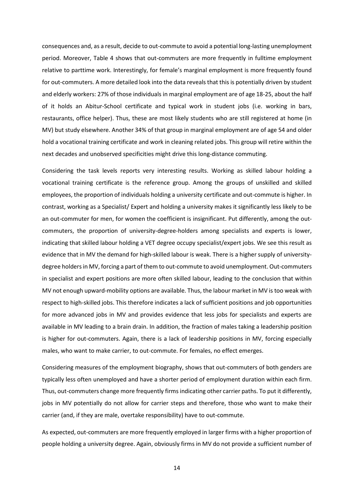consequences and, as a result, decide to out-commute to avoid a potential long-lasting unemployment period. Moreover, [Table 4](#page-12-0) shows that out-commuters are more frequently in fulltime employment relative to parttime work. Interestingly, for female's marginal employment is more frequently found for out-commuters. A more detailed look into the data reveals that this is potentially driven by student and elderly workers: 27% of those individuals in marginal employment are of age 18-25, about the half of it holds an Abitur-School certificate and typical work in student jobs (i.e. working in bars, restaurants, office helper). Thus, these are most likely students who are still registered at home (in MV) but study elsewhere. Another 34% of that group in marginal employment are of age 54 and older hold a vocational training certificate and work in cleaning related jobs. This group will retire within the next decades and unobserved specificities might drive this long-distance commuting.

Considering the task levels reports very interesting results. Working as skilled labour holding a vocational training certificate is the reference group. Among the groups of unskilled and skilled employees, the proportion of individuals holding a university certificate and out-commute is higher. In contrast, working as a Specialist/ Expert and holding a university makes it significantly less likely to be an out-commuter for men, for women the coefficient is insignificant. Put differently, among the outcommuters, the proportion of university-degree-holders among specialists and experts is lower, indicating that skilled labour holding a VET degree occupy specialist/expert jobs. We see this result as evidence that in MV the demand for high-skilled labour is weak. There is a higher supply of universitydegree holders in MV, forcing a part of them to out-commute to avoid unemployment. Out-commuters in specialist and expert positions are more often skilled labour, leading to the conclusion that within MV not enough upward-mobility options are available. Thus, the labour market in MV is too weak with respect to high-skilled jobs. This therefore indicates a lack of sufficient positions and job opportunities for more advanced jobs in MV and provides evidence that less jobs for specialists and experts are available in MV leading to a brain drain. In addition, the fraction of males taking a leadership position is higher for out-commuters. Again, there is a lack of leadership positions in MV, forcing especially males, who want to make carrier, to out-commute. For females, no effect emerges.

Considering measures of the employment biography, shows that out-commuters of both genders are typically less often unemployed and have a shorter period of employment duration within each firm. Thus, out-commuters change more frequently firms indicating other carrier paths. To put it differently, jobs in MV potentially do not allow for carrier steps and therefore, those who want to make their carrier (and, if they are male, overtake responsibility) have to out-commute.

As expected, out-commuters are more frequently employed in larger firms with a higher proportion of people holding a university degree. Again, obviously firms in MV do not provide a sufficient number of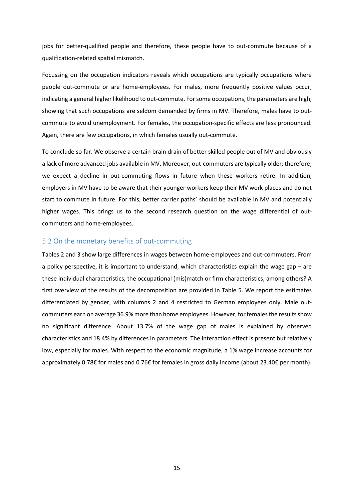jobs for better-qualified people and therefore, these people have to out-commute because of a qualification-related spatial mismatch.

Focussing on the occupation indicators reveals which occupations are typically occupations where people out-commute or are home-employees. For males, more frequently positive values occur, indicating a general higher likelihood to out-commute. For some occupations, the parameters are high, showing that such occupations are seldom demanded by firms in MV. Therefore, males have to outcommute to avoid unemployment. For females, the occupation-specific effects are less pronounced. Again, there are few occupations, in which females usually out-commute.

To conclude so far. We observe a certain brain drain of better skilled people out of MV and obviously a lack of more advanced jobs available in MV. Moreover, out-commuters are typically older; therefore, we expect a decline in out-commuting flows in future when these workers retire. In addition, employers in MV have to be aware that their younger workers keep their MV work places and do not start to commute in future. For this, better carrier paths' should be available in MV and potentially higher wages. This brings us to the second research question on the wage differential of outcommuters and home-employees.

#### 5.2 On the monetary benefits of out-commuting

[Tables](#page-9-0) 2 and [3](#page-10-0) show large differences in wages between home-employees and out-commuters. From a policy perspective, it is important to understand, which characteristics explain the wage gap – are these individual characteristics, the occupational (mis)match or firm characteristics, among others? A first overview of the results of the decomposition are provided in [Table 5.](#page-16-0) We report the estimates differentiated by gender, with columns 2 and 4 restricted to German employees only. Male outcommuters earn on average 36.9% more than home employees. However, for females the results show no significant difference. About 13.7% of the wage gap of males is explained by observed characteristics and 18.4% by differences in parameters. The interaction effect is present but relatively low, especially for males. With respect to the economic magnitude, a 1% wage increase accounts for approximately 0.78€ for males and 0.76€ for females in gross daily income (about 23.40€ per month).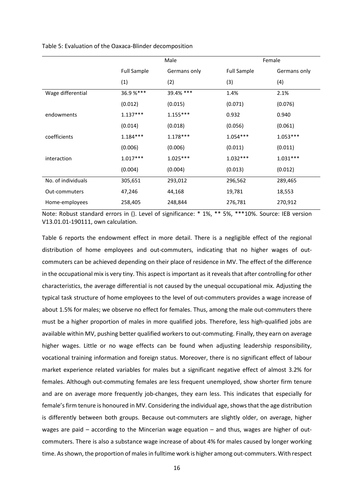<span id="page-16-0"></span>Table 5: Evaluation of the Oaxaca-Blinder decomposition

|                    |                    | Male         | Female             |              |  |
|--------------------|--------------------|--------------|--------------------|--------------|--|
|                    | <b>Full Sample</b> | Germans only | <b>Full Sample</b> | Germans only |  |
|                    | (1)                | (2)          | (3)                | (4)          |  |
| Wage differential  | 36.9%***           | 39.4% ***    | 1.4%               | 2.1%         |  |
|                    | (0.012)            | (0.015)      | (0.071)            | (0.076)      |  |
| endowments         | $1.137***$         | $1.155***$   | 0.932              | 0.940        |  |
|                    | (0.014)            | (0.018)      | (0.056)            | (0.061)      |  |
| coefficients       | $1.184***$         | $1.178***$   | $1.054***$         | $1.053***$   |  |
|                    | (0.006)            | (0.006)      | (0.011)            | (0.011)      |  |
| interaction        | $1.017***$         | $1.025***$   | $1.032***$         | $1.031***$   |  |
|                    | (0.004)            | (0.004)      | (0.013)            | (0.012)      |  |
| No. of individuals | 305,651            | 293,012      | 296,562            | 289,465      |  |
| Out-commuters      | 47,246             | 44,168       | 19,781             | 18,553       |  |
| Home-employees     | 258,405            | 248,844      | 276,781            | 270,912      |  |

Note: Robust standard errors in (). Level of significance: \* 1%, \*\* 5%, \*\*\*10%. Source: IEB version V13.01.01-190111, own calculation.

[Table 6](#page-17-0) reports the endowment effect in more detail. There is a negligible effect of the regional distribution of home employees and out-commuters, indicating that no higher wages of outcommuters can be achieved depending on their place of residence in MV. The effect of the difference in the occupational mix is very tiny. This aspect is important as it reveals that after controlling for other characteristics, the average differential is not caused by the unequal occupational mix. Adjusting the typical task structure of home employees to the level of out-commuters provides a wage increase of about 1.5% for males; we observe no effect for females. Thus, among the male out-commuters there must be a higher proportion of males in more qualified jobs. Therefore, less high-qualified jobs are available within MV, pushing better qualified workers to out-commuting. Finally, they earn on average higher wages. Little or no wage effects can be found when adjusting leadership responsibility, vocational training information and foreign status. Moreover, there is no significant effect of labour market experience related variables for males but a significant negative effect of almost 3.2% for females. Although out-commuting females are less frequent unemployed, show shorter firm tenure and are on average more frequently job-changes, they earn less. This indicates that especially for female'sfirm tenure is honoured in MV. Considering the individual age, shows that the age distribution is differently between both groups. Because out-commuters are slightly older, on average, higher wages are paid – according to the Mincerian wage equation – and thus, wages are higher of outcommuters. There is also a substance wage increase of about 4% for males caused by longer working time. As shown, the proportion of males in fulltime work is higher among out-commuters. With respect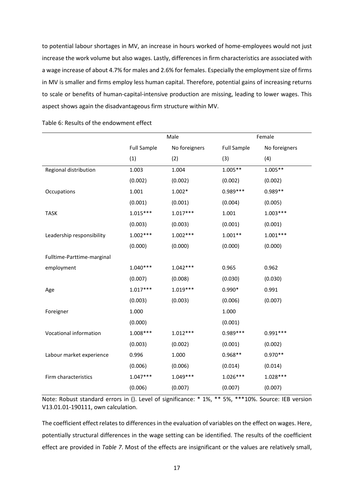to potential labour shortages in MV, an increase in hours worked of home-employees would not just increase the work volume but also wages. Lastly, differences in firm characteristics are associated with a wage increase of about 4.7% for males and 2.6% for females. Especially the employment size of firms in MV is smaller and firms employ less human capital. Therefore, potential gains of increasing returns to scale or benefits of human-capital-intensive production are missing, leading to lower wages. This aspect shows again the disadvantageous firm structure within MV.

|                            | Male               |               | Female             |               |  |
|----------------------------|--------------------|---------------|--------------------|---------------|--|
|                            | <b>Full Sample</b> | No foreigners | <b>Full Sample</b> | No foreigners |  |
|                            | (1)                | (2)           | (3)                | (4)           |  |
| Regional distribution      | 1.003              | 1.004         | $1.005**$          | $1.005**$     |  |
|                            | (0.002)            | (0.002)       | (0.002)            | (0.002)       |  |
| Occupations                | 1.001              | $1.002*$      | 0.989 ***          | 0.989**       |  |
|                            | (0.001)            | (0.001)       | (0.004)            | (0.005)       |  |
| <b>TASK</b>                | $1.015***$         | $1.017***$    | 1.001              | $1.003***$    |  |
|                            | (0.003)            | (0.003)       | (0.001)            | (0.001)       |  |
| Leadership responsibility  | $1.002***$         | $1.002***$    | $1.001**$          | $1.001***$    |  |
|                            | (0.000)            | (0.000)       | (0.000)            | (0.000)       |  |
| Fulltime-Parttime-marginal |                    |               |                    |               |  |
| employment                 | $1.040***$         | $1.042***$    | 0.965              | 0.962         |  |
|                            | (0.007)            | (0.008)       | (0.030)            | (0.030)       |  |
| Age                        | $1.017***$         | $1.019***$    | $0.990*$           | 0.991         |  |
|                            | (0.003)            | (0.003)       | (0.006)            | (0.007)       |  |
| Foreigner                  | 1.000              |               | 1.000              |               |  |
|                            | (0.000)            |               | (0.001)            |               |  |
| Vocational information     | $1.008***$         | $1.012***$    | $0.989***$         | $0.991***$    |  |
|                            | (0.003)            | (0.002)       | (0.001)            | (0.002)       |  |
| Labour market experience   | 0.996              | 1.000         | $0.968**$          | $0.970**$     |  |
|                            | (0.006)            | (0.006)       | (0.014)            | (0.014)       |  |
| Firm characteristics       | $1.047***$         | $1.049***$    | $1.026***$         | $1.028***$    |  |
|                            | (0.006)            | (0.007)       | (0.007)            | (0.007)       |  |

<span id="page-17-0"></span>Table 6: Results of the endowment effect

Note: Robust standard errors in (). Level of significance: \* 1%, \*\* 5%, \*\*\*10%. Source: IEB version V13.01.01-190111, own calculation.

The coefficient effect relates to differences in the evaluation of variables on the effect on wages. Here, potentially structural differences in the wage setting can be identified. The results of the coefficient effect are provided in *[Table 7](#page-20-0)*. Most of the effects are insignificant or the values are relatively small,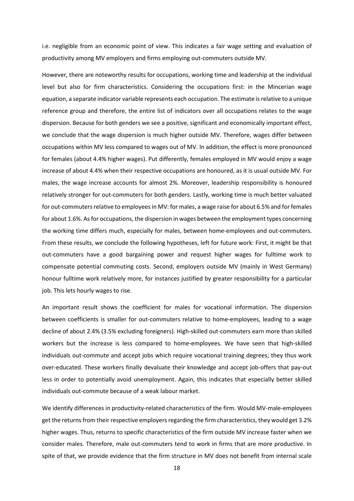i.e. negligible from an economic point of view. This indicates a fair wage setting and evaluation of productivity among MV employers and firms employing out-commuters outside MV.

However, there are noteworthy results for occupations, working time and leadership at the individual level but also for firm characteristics. Considering the occupations first: in the Mincerian wage equation, a separate indicator variable represents each occupation. The estimate is relative to a unique reference group and therefore, the entire list of indicators over all occupations relates to the wage dispersion. Because for both genders we see a positive, significant and economically important effect, we conclude that the wage dispersion is much higher outside MV. Therefore, wages differ between occupations within MV less compared to wages out of MV. In addition, the effect is more pronounced for females (about 4.4% higher wages). Put differently, females employed in MV would enjoy a wage increase of about 4.4% when their respective occupations are honoured, as it is usual outside MV. For males, the wage increase accounts for almost 2%. Moreover, leadership responsibility is honoured relatively stronger for out-commuters for both genders. Lastly, working time is much better valuated for out-commuters relative to employees in MV: for males, a wage raise for about 6.5% and for females for about 1.6%. As for occupations, the dispersion in wages between the employment types concerning the working time differs much, especially for males, between home-employees and out-commuters. From these results, we conclude the following hypotheses, left for future work: First, it might be that out-commuters have a good bargaining power and request higher wages for fulltime work to compensate potential commuting costs. Second, employers outside MV (mainly in West Germany) honour fulltime work relatively more, for instances justified by greater responsibility for a particular job. This lets hourly wages to rise.

An important result shows the coefficient for males for vocational information. The dispersion between coefficients is smaller for out-commuters relative to home-employees, leading to a wage decline of about 2.4% (3.5% excluding foreigners). High-skilled out-commuters earn more than skilled workers but the increase is less compared to home-employees. We have seen that high-skilled individuals out-commute and accept jobs which require vocational training degrees; they thus work over-educated. These workers finally devaluate their knowledge and accept job-offers that pay-out less in order to potentially avoid unemployment. Again, this indicates that especially better skilled individuals out-commute because of a weak labour market.

We identify differences in productivity-related characteristics of the firm. Would MV-male-employees get the returns from their respective employers regarding the firm characteristics, they would get 3.2% higher wages. Thus, returns to specific characteristics of the firm outside MV increase faster when we consider males. Therefore, male out-commuters tend to work in firms that are more productive. In spite of that, we provide evidence that the firm structure in MV does not benefit from internal scale

18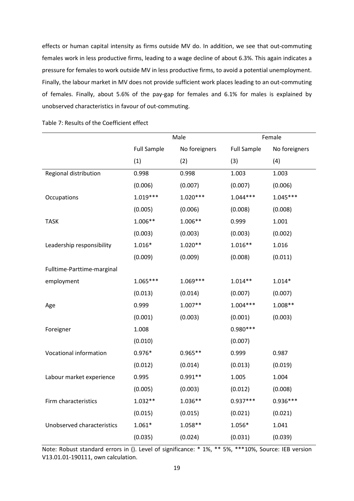effects or human capital intensity as firms outside MV do. In addition, we see that out-commuting females work in less productive firms, leading to a wage decline of about 6.3%. This again indicates a pressure for females to work outside MV in less productive firms, to avoid a potential unemployment. Finally, the labour market in MV does not provide sufficient work places leading to an out-commuting of females. Finally, about 5.6% of the pay-gap for females and 6.1% for males is explained by unobserved characteristics in favour of out-commuting.

|                            |                    | Male          | Female             |               |
|----------------------------|--------------------|---------------|--------------------|---------------|
|                            | <b>Full Sample</b> | No foreigners | <b>Full Sample</b> | No foreigners |
|                            | (1)                | (2)           | (3)                | (4)           |
| Regional distribution      | 0.998              | 0.998         | 1.003              | 1.003         |
|                            | (0.006)            | (0.007)       | (0.007)            | (0.006)       |
| Occupations                | $1.019***$         | $1.020***$    | $1.044***$         | $1.045***$    |
|                            | (0.005)            | (0.006)       | (0.008)            | (0.008)       |
| <b>TASK</b>                | $1.006**$          | 1.006**       | 0.999              | 1.001         |
|                            | (0.003)            | (0.003)       | (0.003)            | (0.002)       |
| Leadership responsibility  | $1.016*$           | $1.020**$     | $1.016**$          | 1.016         |
|                            | (0.009)            | (0.009)       | (0.008)            | (0.011)       |
| Fulltime-Parttime-marginal |                    |               |                    |               |
| employment                 | $1.065***$         | $1.069***$    | $1.014**$          | $1.014*$      |
|                            | (0.013)            | (0.014)       | (0.007)            | (0.007)       |
| Age                        | 0.999              | $1.007**$     | $1.004***$         | $1.008**$     |
|                            | (0.001)            | (0.003)       | (0.001)            | (0.003)       |
| Foreigner                  | 1.008              |               | $0.980***$         |               |
|                            | (0.010)            |               | (0.007)            |               |
| Vocational information     | $0.976*$           | $0.965**$     | 0.999              | 0.987         |
|                            | (0.012)            | (0.014)       | (0.013)            | (0.019)       |
| Labour market experience   | 0.995              | $0.991**$     | 1.005              | 1.004         |
|                            | (0.005)            | (0.003)       | (0.012)            | (0.008)       |
| Firm characteristics       | $1.032**$          | $1.036**$     | $0.937***$         | $0.936***$    |
|                            | (0.015)            | (0.015)       | (0.021)            | (0.021)       |
| Unobserved characteristics | $1.061*$           | 1.058**       | $1.056*$           | 1.041         |
|                            | (0.035)            | (0.024)       | (0.031)            | (0.039)       |

Table 7: Results of the Coefficient effect

Note: Robust standard errors in (). Level of significance: \* 1%, \*\* 5%, \*\*\*10%, Source: IEB version V13.01.01-190111, own calculation.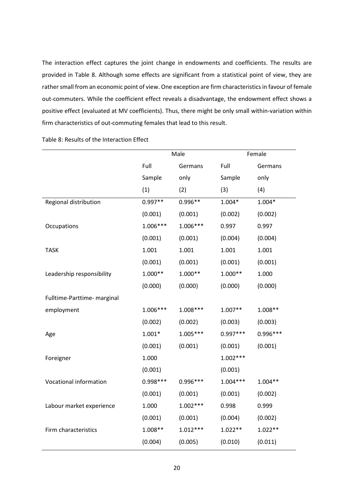The interaction effect captures the joint change in endowments and coefficients. The results are provided in [Table 8.](#page-20-0) Although some effects are significant from a statistical point of view, they are rather small from an economic point of view. One exception are firm characteristics in favour of female out-commuters. While the coefficient effect reveals a disadvantage, the endowment effect shows a positive effect (evaluated at MV coefficients). Thus, there might be only small within-variation within firm characteristics of out-commuting females that lead to this result.

|                             | Male       |            |            | Female    |
|-----------------------------|------------|------------|------------|-----------|
|                             | Full       | Germans    | Full       | Germans   |
|                             | Sample     | only       | Sample     | only      |
|                             | (1)        | (2)        | (3)        | (4)       |
| Regional distribution       | $0.997**$  | 0.996**    | $1.004*$   | $1.004*$  |
|                             | (0.001)    | (0.001)    | (0.002)    | (0.002)   |
| Occupations                 | $1.006***$ | 1.006***   | 0.997      | 0.997     |
|                             | (0.001)    | (0.001)    | (0.004)    | (0.004)   |
| <b>TASK</b>                 | 1.001      | 1.001      | 1.001      | 1.001     |
|                             | (0.001)    | (0.001)    | (0.001)    | (0.001)   |
| Leadership responsibility   | $1.000**$  | $1.000**$  | $1.000**$  | 1.000     |
|                             | (0.000)    | (0.000)    | (0.000)    | (0.000)   |
| Fulltime-Parttime- marginal |            |            |            |           |
| employment                  | $1.006***$ | $1.008***$ | $1.007**$  | $1.008**$ |
|                             | (0.002)    | (0.002)    | (0.003)    | (0.003)   |
| Age                         | $1.001*$   | $1.005***$ | $0.997***$ | 0.996 *** |
|                             | (0.001)    | (0.001)    | (0.001)    | (0.001)   |
| Foreigner                   | 1.000      |            | $1.002***$ |           |
|                             | (0.001)    |            | (0.001)    |           |
| Vocational information      | $0.998***$ | 0.996 ***  | $1.004***$ | $1.004**$ |
|                             | (0.001)    | (0.001)    | (0.001)    | (0.002)   |
| Labour market experience    | 1.000      | $1.002***$ | 0.998      | 0.999     |
|                             | (0.001)    | (0.001)    | (0.004)    | (0.002)   |
| Firm characteristics        | $1.008**$  | $1.012***$ | $1.022**$  | $1.022**$ |
|                             | (0.004)    | (0.005)    | (0.010)    | (0.011)   |

<span id="page-20-0"></span>Table 8: Results of the Interaction Effect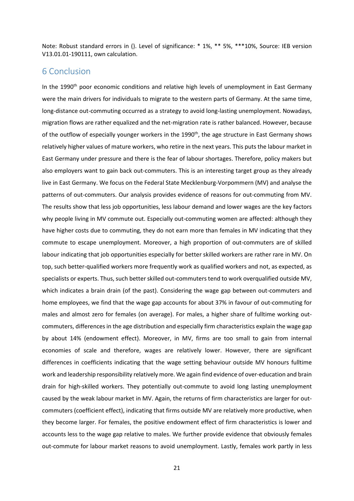Note: Robust standard errors in (). Level of significance: \* 1%, \*\* 5%, \*\*\*10%, Source: IEB version V13.01.01-190111, own calculation.

### 6 Conclusion

In the 1990<sup>th</sup> poor economic conditions and relative high levels of unemployment in East Germany were the main drivers for individuals to migrate to the western parts of Germany. At the same time, long-distance out-commuting occurred as a strategy to avoid long-lasting unemployment. Nowadays, migration flows are rather equalized and the net-migration rate is rather balanced. However, because of the outflow of especially younger workers in the 1990<sup>th</sup>, the age structure in East Germany shows relatively higher values of mature workers, who retire in the next years. This puts the labour market in East Germany under pressure and there is the fear of labour shortages. Therefore, policy makers but also employers want to gain back out-commuters. This is an interesting target group as they already live in East Germany. We focus on the Federal State Mecklenburg-Vorpommern (MV) and analyse the patterns of out-commuters. Our analysis provides evidence of reasons for out-commuting from MV. The results show that less job opportunities, less labour demand and lower wages are the key factors why people living in MV commute out. Especially out-commuting women are affected: although they have higher costs due to commuting, they do not earn more than females in MV indicating that they commute to escape unemployment. Moreover, a high proportion of out-commuters are of skilled labour indicating that job opportunities especially for better skilled workers are rather rare in MV. On top, such better-qualified workers more frequently work as qualified workers and not, as expected, as specialists or experts. Thus, such better skilled out-commuters tend to work overqualified outside MV, which indicates a brain drain (of the past). Considering the wage gap between out-commuters and home employees, we find that the wage gap accounts for about 37% in favour of out-commuting for males and almost zero for females (on average). For males, a higher share of fulltime working outcommuters, differences in the age distribution and especially firm characteristics explain the wage gap by about 14% (endowment effect). Moreover, in MV, firms are too small to gain from internal economies of scale and therefore, wages are relatively lower. However, there are significant differences in coefficients indicating that the wage setting behaviour outside MV honours fulltime work and leadership responsibility relatively more. We again find evidence of over-education and brain drain for high-skilled workers. They potentially out-commute to avoid long lasting unemployment caused by the weak labour market in MV. Again, the returns of firm characteristics are larger for outcommuters (coefficient effect), indicating that firms outside MV are relatively more productive, when they become larger. For females, the positive endowment effect of firm characteristics is lower and accounts less to the wage gap relative to males. We further provide evidence that obviously females out-commute for labour market reasons to avoid unemployment. Lastly, females work partly in less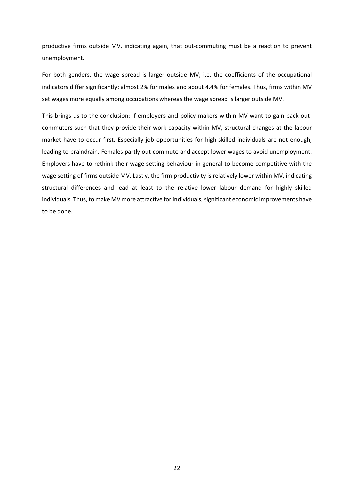productive firms outside MV, indicating again, that out-commuting must be a reaction to prevent unemployment.

For both genders, the wage spread is larger outside MV; i.e. the coefficients of the occupational indicators differ significantly; almost 2% for males and about 4.4% for females. Thus, firms within MV set wages more equally among occupations whereas the wage spread is larger outside MV.

This brings us to the conclusion: if employers and policy makers within MV want to gain back outcommuters such that they provide their work capacity within MV, structural changes at the labour market have to occur first. Especially job opportunities for high-skilled individuals are not enough, leading to braindrain. Females partly out-commute and accept lower wages to avoid unemployment. Employers have to rethink their wage setting behaviour in general to become competitive with the wage setting of firms outside MV. Lastly, the firm productivity is relatively lower within MV, indicating structural differences and lead at least to the relative lower labour demand for highly skilled individuals. Thus, to make MV more attractive for individuals, significant economic improvements have to be done.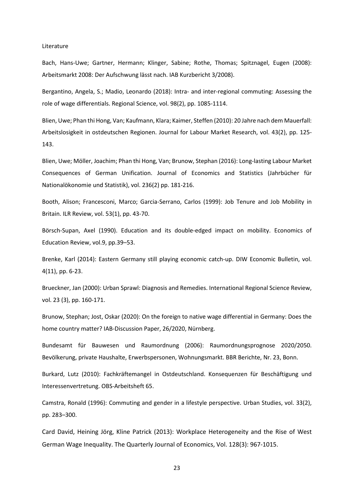#### Literature

Bach, Hans-Uwe; Gartner, Hermann; Klinger, Sabine; Rothe, Thomas; Spitznagel, Eugen (2008): Arbeitsmarkt 2008: Der Aufschwung lässt nach. IAB Kurzbericht 3/2008).

Bergantino, Angela, S.; Madio, Leonardo (2018): Intra- and inter-regional commuting: Assessing the role of wage differentials. Regional Science, vol. 98(2), pp. 1085-1114.

Blien, Uwe; Phan thi Hong, Van; Kaufmann, Klara; Kaimer, Steffen (2010): 20 Jahre nach dem Mauerfall: Arbeitslosigkeit in ostdeutschen Regionen. Journal for Labour Market Research, vol. 43(2), pp. 125- 143.

Blien, Uwe; Möller, Joachim; Phan thi Hong, Van; Brunow, Stephan (2016): Long-lasting Labour Market Consequences of German Unification. Journal of Economics and Statistics (Jahrbücher für Nationalökonomie und Statistik), vol. 236(2) pp. 181-216.

Booth, Alison; Francesconi, Marco; Garcia-Serrano, Carlos (1999): Job Tenure and Job Mobility in Britain. ILR Review, vol. 53(1), pp. 43-70.

Börsch-Supan, Axel (1990). Education and its double-edged impact on mobility. Economics of Education Review, vol.9, pp.39–53.

Brenke, Karl (2014): Eastern Germany still playing economic catch-up. DIW Economic Bulletin, vol. 4(11), pp. 6-23.

Brueckner, Jan (2000): Urban Sprawl: Diagnosis and Remedies. International Regional Science Review, vol. 23 (3), pp. 160-171.

Brunow, Stephan; Jost, Oskar (2020): On the foreign to native wage differential in Germany: Does the home country matter? IAB-Discussion Paper, 26/2020, Nürnberg.

Bundesamt für Bauwesen und Raumordnung (2006): Raumordnungsprognose 2020/2050. Bevölkerung, private Haushalte, Erwerbspersonen, Wohnungsmarkt. BBR Berichte, Nr. 23, Bonn.

Burkard, Lutz (2010): Fachkräftemangel in Ostdeutschland. Konsequenzen für Beschäftigung und Interessenvertretung. OBS-Arbeitsheft 65.

Camstra, Ronald (1996): Commuting and gender in a lifestyle perspective. Urban Studies, vol. 33(2), pp. 283–300.

Card David, Heining Jörg, Kline Patrick (2013): Workplace Heterogeneity and the Rise of West German Wage Inequality. The Quarterly Journal of Economics, Vol. 128(3): 967-1015.

23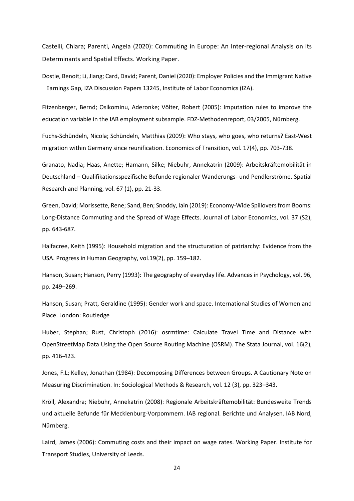Castelli, Chiara; Parenti, Angela (2020): Commuting in Europe: An Inter-regional Analysis on its Determinants and Spatial Effects. Working Paper.

Dostie, Benoit; Li, Jiang; Card, David; Parent, Daniel (2020): Employer Policies and the Immigrant Native Earnings Gap, IZA Discussion Papers 13245, Institute of Labor Economics (IZA).

Fitzenberger, Bernd; Osikominu, Aderonke; Völter, Robert (2005): Imputation rules to improve the education variable in the IAB employment subsample. FDZ-Methodenreport, 03/2005, Nürnberg.

Fuchs-Schündeln, Nicola; Schündeln, Matthias (2009): Who stays, who goes, who returns? East-West migration within Germany since reunification. Economics of Transition, vol. 17(4), pp. 703-738.

Granato, Nadia; Haas, Anette; Hamann, Silke; Niebuhr, Annekatrin (2009): Arbeitskräftemobilität in Deutschland – Qualifikationsspezifische Befunde regionaler Wanderungs- und Pendlerströme. Spatial Research and Planning, vol. 67 (1), pp. 21-33.

Green, David; Morissette, Rene; Sand, Ben; Snoddy, Iain (2019): Economy-Wide Spillovers from Booms: Long-Distance Commuting and the Spread of Wage Effects. Journal of Labor Economics, vol. 37 (S2), pp. 643-687.

Halfacree, Keith (1995): Household migration and the structuration of patriarchy: Evidence from the USA. Progress in Human Geography, vol.19(2), pp. 159–182.

Hanson, Susan; Hanson, Perry (1993): The geography of everyday life. Advances in Psychology, vol. 96, pp. 249–269.

Hanson, Susan; Pratt, Geraldine (1995): Gender work and space. International Studies of Women and Place. London: Routledge

Huber, Stephan; Rust, Christoph (2016): osrmtime: Calculate Travel Time and Distance with OpenStreetMap Data Using the Open Source Routing Machine (OSRM). The Stata Journal, vol. 16(2), pp. 416-423.

Jones, F.L; Kelley, Jonathan (1984): Decomposing Differences between Groups. A Cautionary Note on Measuring Discrimination. In: Sociological Methods & Research, vol. 12 (3), pp. 323–343.

Kröll, Alexandra; Niebuhr, Annekatrin (2008): Regionale Arbeitskräftemobilität: Bundesweite Trends und aktuelle Befunde für Mecklenburg-Vorpommern. IAB regional. Berichte und Analysen. IAB Nord, Nürnberg.

Laird, James (2006): Commuting costs and their impact on wage rates. Working Paper. Institute for Transport Studies, University of Leeds.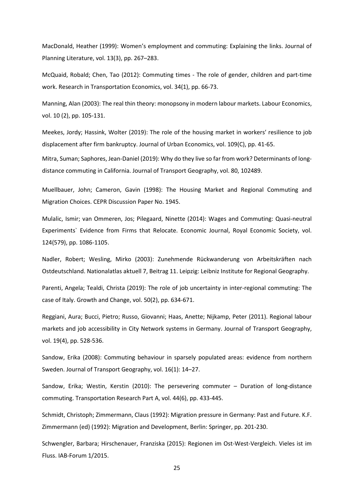MacDonald, Heather (1999): Women's employment and commuting: Explaining the links. Journal of Planning Literature, vol. 13(3), pp. 267–283.

McQuaid, Robald; Chen, Tao (2012): Commuting times - The role of gender, children and part-time work. Research in Transportation Economics, vol. 34(1), pp. 66-73.

Manning, Alan (2003): The real thin theory: monopsony in modern labour markets. Labour Economics, vol. 10 (2), pp. 105-131.

Meekes, Jordy; Hassink, Wolter (2019): The role of the housing market in workers′ resilience to job displacement after firm bankruptcy. Journal of Urban Economics, vol. 109(C), pp. 41-65.

Mitra, Suman; Saphores, Jean-Daniel (2019): Why do they live so far from work? Determinants of longdistance commuting in California. Journal of Transport Geography, vol. 80, 102489.

Muellbauer, John; Cameron, Gavin (1998): The Housing Market and Regional Commuting and Migration Choices. CEPR Discussion Paper No. 1945.

Mulalic, Ismir; van Ommeren, Jos; Pilegaard, Ninette (2014): Wages and Commuting: Quasi-neutral Experiments` Evidence from Firms that Relocate. Economic Journal, Royal Economic Society, vol. 124(579), pp. 1086-1105.

Nadler, Robert; Wesling, Mirko (2003): Zunehmende Rückwanderung von Arbeitskräften nach Ostdeutschland. Nationalatlas aktuell 7, Beitrag 11. Leipzig: Leibniz Institute for Regional Geography.

Parenti, Angela; Tealdi, Christa (2019): The role of job uncertainty in inter-regional commuting: The case of Italy. Growth and Change, vol. 50(2), pp. 634-671.

Reggiani, Aura; Bucci, Pietro; Russo, Giovanni; Haas, Anette; Nijkamp, Peter (2011). Regional labour markets and job accessibility in City Network systems in Germany. Journal of Transport Geography, vol. 19(4), pp. 528-536.

Sandow, Erika (2008): Commuting behaviour in sparsely populated areas: evidence from northern Sweden. Journal of Transport Geography, vol. 16(1): 14–27.

Sandow, Erika; Westin, Kerstin (2010): The persevering commuter – Duration of long-distance commuting. Transportation Research Part A, vol. 44(6), pp. 433-445.

Schmidt, Christoph; Zimmermann, Claus (1992): Migration pressure in Germany: Past and Future. K.F. Zimmermann (ed) (1992): Migration and Development, Berlin: Springer, pp. 201-230.

Schwengler, Barbara; Hirschenauer, Franziska (2015): Regionen im Ost-West-Vergleich. Vieles ist im Fluss. IAB-Forum 1/2015.